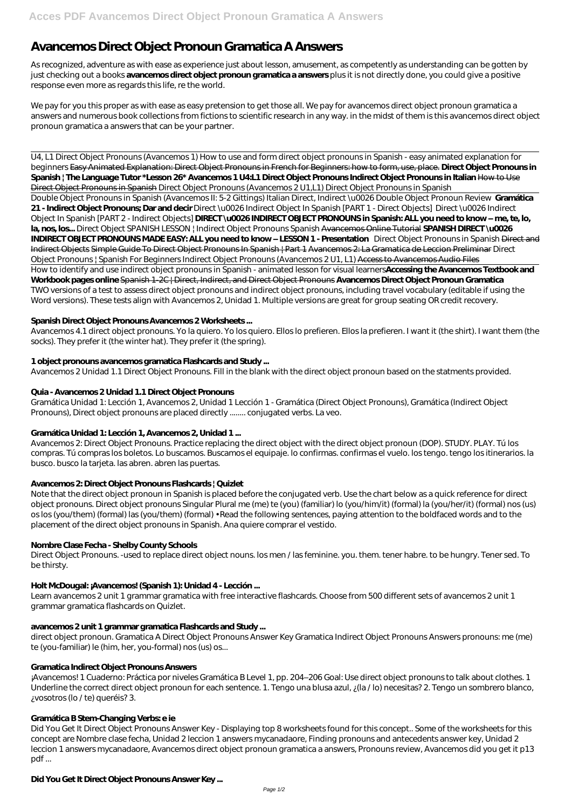# **Avancemos Direct Object Pronoun Gramatica A Answers**

As recognized, adventure as with ease as experience just about lesson, amusement, as competently as understanding can be gotten by just checking out a books **avancemos direct object pronoun gramatica a answers** plus it is not directly done, you could give a positive response even more as regards this life, re the world.

We pay for you this proper as with ease as easy pretension to get those all. We pay for avancemos direct object pronoun gramatica a answers and numerous book collections from fictions to scientific research in any way. in the midst of them is this avancemos direct object pronoun gramatica a answers that can be your partner.

U4, L1 Direct Object Pronouns (Avancemos 1) How to use and form direct object pronouns in Spanish - easy animated explanation for beginners Easy Animated Explanation: Direct Object Pronouns in French for Beginners: how to form, use, place. **Direct Object Pronouns in Spanish | The Language Tutor \*Lesson 26\* Avancemos 1 U4:L1 Direct Object Pronouns Indirect Object Pronouns in Italian** How to Use Direct Object Pronouns in Spanish *Direct Object Pronouns (Avancemos 2 U1,L1) Direct Object Pronouns in Spanish* Double Object Pronouns in Spanish (Avancemos II: 5-2 Gittings) Italian Direct, Indirect \u0026 Double Object Pronoun Review **Gramática 21 - Indirect Object Pronouns; Dar and decir** *Direct \u0026 Indirect Object In Spanish [PART 1 - Direct Objects] Direct \u0026 Indirect Object In Spanish [PART 2 - Indirect Objects]* **DIRECT \u0026 INDIRECT OBJECT PRONOUNS in Spanish: ALL you need to know – me, te, lo, la, nos, los...** *Direct Object* SPANISH LESSON | Indirect Object Pronouns Spanish Avancemos Online Tutorial **SPANISH DIRECT \u0026 INDIRECT OBJECT PRONOUNS MADE EASY: ALL you need to know – LESSON 1 - Presentation** *Direct Object Pronouns in Spanish* Direct and Indirect Objects Simple Guide To Direct Object Pronouns In Spanish | Part 1 Avancemos 2: La Gramatica de Leccion Preliminar *Direct Object Pronouns | Spanish For Beginners* Indirect Object Pronouns (Avancemos 2 U1, L1) Access to Avancemos Audio Files How to identify and use indirect object pronouns in Spanish - animated lesson for visual learners**Accessing the Avancemos Textbook and Workbook pages online** Spanish 1-2C | Direct, Indirect, and Direct Object Pronouns **Avancemos Direct Object Pronoun Gramatica** TWO versions of a test to assess direct object pronouns and indirect object pronouns, including travel vocabulary (editable if using the Word versions). These tests align with Avancemos 2, Unidad 1. Multiple versions are great for group seating OR credit recovery.

## **Spanish Direct Object Pronouns Avancemos 2 Worksheets ...**

Avancemos 4.1 direct object pronouns. Yo la quiero. Yo los quiero. Ellos lo prefieren. Ellos la prefieren. I want it (the shirt). I want them (the socks). They prefer it (the winter hat). They prefer it (the spring).

# **1 object pronouns avancemos gramatica Flashcards and Study ...**

Avancemos 2 Unidad 1.1 Direct Object Pronouns. Fill in the blank with the direct object pronoun based on the statments provided.

# **Quia - Avancemos 2 Unidad 1.1 Direct Object Pronouns**

Gramática Unidad 1: Lección 1, Avancemos 2, Unidad 1 Lección 1 - Gramática (Direct Object Pronouns), Gramática (Indirect Object Pronouns), Direct object pronouns are placed directly ........ conjugated verbs. La veo.

# **Gramática Unidad 1: Lección 1, Avancemos 2, Unidad 1 ...**

Avancemos 2: Direct Object Pronouns. Practice replacing the direct object with the direct object pronoun (DOP). STUDY. PLAY. Tú los compras. Tú compras los boletos. Lo buscamos. Buscamos el equipaje. lo confirmas. confirmas el vuelo. los tengo. tengo los itinerarios. la busco. busco la tarjeta. las abren. abren las puertas.

## **Avancemos 2: Direct Object Pronouns Flashcards | Quizlet**

Note that the direct object pronoun in Spanish is placed before the conjugated verb. Use the chart below as a quick reference for direct object pronouns. Direct object pronouns Singular Plural me (me) te (you) (familiar) lo (you/him/it) (formal) la (you/her/it) (formal) nos (us) os los (you/them) (formal) las (you/them) (formal) • Read the following sentences, paying attention to the boldfaced words and to the placement of the direct object pronouns in Spanish. Ana quiere comprar el vestido.

# **Nombre Clase Fecha - Shelby County Schools**

Direct Object Pronouns. -used to replace direct object nouns. los men / las feminine. you. them. tener habre. to be hungry. Tener sed. To be thirsty.

# **Holt McDougal: ¡Avancemos! (Spanish 1): Unidad 4 - Lección ...**

Learn avancemos 2 unit 1 grammar gramatica with free interactive flashcards. Choose from 500 different sets of avancemos 2 unit 1 grammar gramatica flashcards on Quizlet.

#### **avancemos 2 unit 1 grammar gramatica Flashcards and Study ...**

direct object pronoun. Gramatica A Direct Object Pronouns Answer Key Gramatica Indirect Object Pronouns Answers pronouns: me (me) te (you-familiar) le (him, her, you-formal) nos (us) os...

#### **Gramatica Indirect Object Pronouns Answers**

¡Avancemos! 1 Cuaderno: Práctica por niveles Gramática B Level 1, pp. 204–206 Goal: Use direct object pronouns to talk about clothes. 1 Underline the correct direct object pronoun for each sentence. 1. Tengo una blusa azul,  $\chi$ (la /lo) necesitas? 2. Tengo un sombrero blanco, ¿vosotros (lo / te) queréis? 3.

#### **Gramática B Stem-Changing Verbs: e ie**

Did You Get It Direct Object Pronouns Answer Key - Displaying top 8 worksheets found for this concept.. Some of the worksheets for this concept are Nombre clase fecha, Unidad 2 leccion 1 answers mycanadaore, Finding pronouns and antecedents answer key, Unidad 2 leccion 1 answers mycanadaore, Avancemos direct object pronoun gramatica a answers, Pronouns review, Avancemos did you get it p13 pdf ...

## **Did You Get It Direct Object Pronouns Answer Key ...**